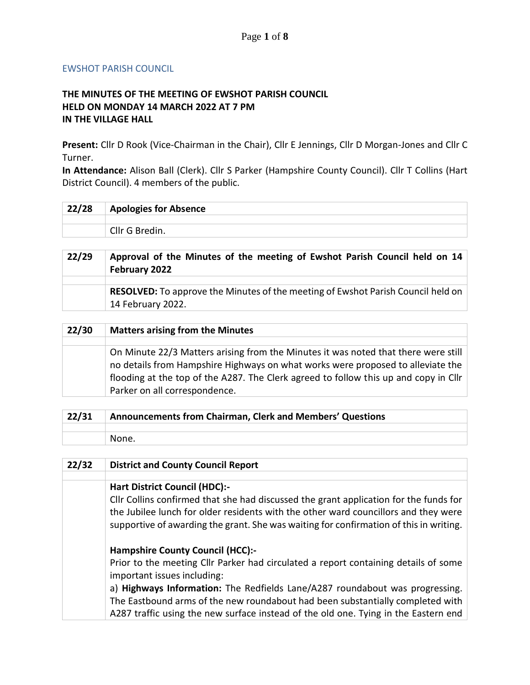## EWSHOT PARISH COUNCIL

## **THE MINUTES OF THE MEETING OF EWSHOT PARISH COUNCIL HELD ON MONDAY 14 MARCH 2022 AT 7 PM IN THE VILLAGE HALL**

**Present:** Cllr D Rook (Vice-Chairman in the Chair), Cllr E Jennings, Cllr D Morgan-Jones and Cllr C Turner.

**In Attendance:** Alison Ball (Clerk). Cllr S Parker (Hampshire County Council). Cllr T Collins (Hart District Council). 4 members of the public.

| 22/28 | <b>Apologies for Absence</b> |
|-------|------------------------------|
|       |                              |
|       | Cllr G Bredin.               |

| 22/29 | Approval of the Minutes of the meeting of Ewshot Parish Council held on 14<br>February 2022                  |
|-------|--------------------------------------------------------------------------------------------------------------|
|       |                                                                                                              |
|       | <b>RESOLVED:</b> To approve the Minutes of the meeting of Ewshot Parish Council held on<br>14 February 2022. |

| 22/30 | <b>Matters arising from the Minutes</b>                                                                                                                                                                                                                                                        |
|-------|------------------------------------------------------------------------------------------------------------------------------------------------------------------------------------------------------------------------------------------------------------------------------------------------|
|       |                                                                                                                                                                                                                                                                                                |
|       | On Minute 22/3 Matters arising from the Minutes it was noted that there were still<br>no details from Hampshire Highways on what works were proposed to alleviate the<br>flooding at the top of the A287. The Clerk agreed to follow this up and copy in Cllr<br>Parker on all correspondence. |

| 22/31 | Announcements from Chairman, Clerk and Members' Questions |
|-------|-----------------------------------------------------------|
|       |                                                           |
|       | None.                                                     |

| 22/32 | <b>District and County Council Report</b>                                                                                                                                     |
|-------|-------------------------------------------------------------------------------------------------------------------------------------------------------------------------------|
|       |                                                                                                                                                                               |
|       | <b>Hart District Council (HDC):-</b>                                                                                                                                          |
|       | Cllr Collins confirmed that she had discussed the grant application for the funds for                                                                                         |
|       | the Jubilee lunch for older residents with the other ward councillors and they were<br>supportive of awarding the grant. She was waiting for confirmation of this in writing. |
|       |                                                                                                                                                                               |
|       | <b>Hampshire County Council (HCC):-</b>                                                                                                                                       |
|       | Prior to the meeting Cllr Parker had circulated a report containing details of some                                                                                           |
|       | important issues including:                                                                                                                                                   |
|       | a) Highways Information: The Redfields Lane/A287 roundabout was progressing.                                                                                                  |
|       | The Eastbound arms of the new roundabout had been substantially completed with                                                                                                |
|       | A287 traffic using the new surface instead of the old one. Tying in the Eastern end                                                                                           |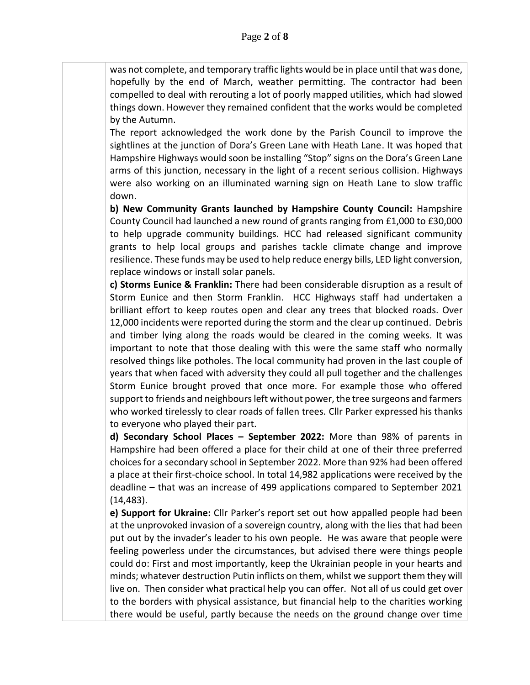was not complete, and temporary traffic lights would be in place until that was done, hopefully by the end of March, weather permitting. The contractor had been compelled to deal with rerouting a lot of poorly mapped utilities, which had slowed things down. However they remained confident that the works would be completed by the Autumn.

The report acknowledged the work done by the Parish Council to improve the sightlines at the junction of Dora's Green Lane with Heath Lane. It was hoped that Hampshire Highways would soon be installing "Stop" signs on the Dora's Green Lane arms of this junction, necessary in the light of a recent serious collision. Highways were also working on an illuminated warning sign on Heath Lane to slow traffic down.

**b) New Community Grants launched by Hampshire County Council:** Hampshire County Council had launched a new round of grants ranging from £1,000 to £30,000 to help upgrade community buildings. HCC had released significant community grants to help local groups and parishes tackle climate change and improve resilience. These funds may be used to help reduce energy bills, LED light conversion, replace windows or install solar panels.

**c) Storms Eunice & Franklin:** There had been considerable disruption as a result of Storm Eunice and then Storm Franklin. HCC Highways staff had undertaken a brilliant effort to keep routes open and clear any trees that blocked roads. Over 12,000 incidents were reported during the storm and the clear up continued. Debris and timber lying along the roads would be cleared in the coming weeks. It was important to note that those dealing with this were the same staff who normally resolved things like potholes. The local community had proven in the last couple of years that when faced with adversity they could all pull together and the challenges Storm Eunice brought proved that once more. For example those who offered support to friends and neighbours left without power, the tree surgeons and farmers who worked tirelessly to clear roads of fallen trees. Cllr Parker expressed his thanks to everyone who played their part.

**d) Secondary School Places – September 2022:** More than 98% of parents in Hampshire had been offered a place for their child at one of their three preferred choices for a secondary school in September 2022. More than 92% had been offered a place at their first-choice school. In total 14,982 applications were received by the deadline – that was an increase of 499 applications compared to September 2021 (14,483).

**e) Support for Ukraine:** Cllr Parker's report set out how appalled people had been at the unprovoked invasion of a sovereign country, along with the lies that had been put out by the invader's leader to his own people. He was aware that people were feeling powerless under the circumstances, but advised there were things people could do: First and most importantly, keep the Ukrainian people in your hearts and minds; whatever destruction Putin inflicts on them, whilst we support them they will live on. Then consider what practical help you can offer. Not all of us could get over to the borders with physical assistance, but financial help to the charities working there would be useful, partly because the needs on the ground change over time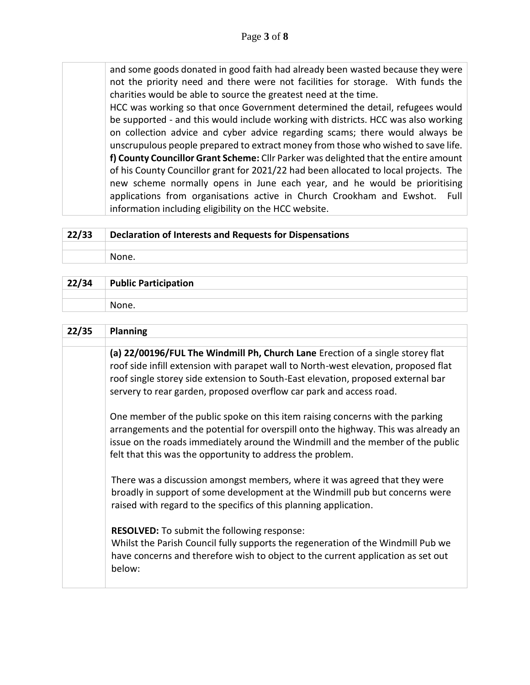and some goods donated in good faith had already been wasted because they were not the priority need and there were not facilities for storage. With funds the charities would be able to source the greatest need at the time.

HCC was working so that once Government determined the detail, refugees would be supported - and this would include working with districts. HCC was also working on collection advice and cyber advice regarding scams; there would always be unscrupulous people prepared to extract money from those who wished to save life. **f) County Councillor Grant Scheme:** Cllr Parker was delighted that the entire amount of his County Councillor grant for 2021/22 had been allocated to local projects. The new scheme normally opens in June each year, and he would be prioritising applications from organisations active in Church Crookham and Ewshot. Full information including eligibility on the HCC website.

| 22/33 | Declaration of Interests and Requests for Dispensations |
|-------|---------------------------------------------------------|
|       |                                                         |
|       | None.                                                   |
|       |                                                         |

| 22/34 | <b>Public Participation</b> |
|-------|-----------------------------|
|       |                             |
|       | None.                       |

| 22/35 | <b>Planning</b>                                                                                                                                                                                                                                                                                                                  |
|-------|----------------------------------------------------------------------------------------------------------------------------------------------------------------------------------------------------------------------------------------------------------------------------------------------------------------------------------|
|       |                                                                                                                                                                                                                                                                                                                                  |
|       | (a) 22/00196/FUL The Windmill Ph, Church Lane Erection of a single storey flat<br>roof side infill extension with parapet wall to North-west elevation, proposed flat<br>roof single storey side extension to South-East elevation, proposed external bar<br>servery to rear garden, proposed overflow car park and access road. |
|       | One member of the public spoke on this item raising concerns with the parking<br>arrangements and the potential for overspill onto the highway. This was already an<br>issue on the roads immediately around the Windmill and the member of the public<br>felt that this was the opportunity to address the problem.             |
|       | There was a discussion amongst members, where it was agreed that they were<br>broadly in support of some development at the Windmill pub but concerns were<br>raised with regard to the specifics of this planning application.                                                                                                  |
|       | <b>RESOLVED:</b> To submit the following response:<br>Whilst the Parish Council fully supports the regeneration of the Windmill Pub we<br>have concerns and therefore wish to object to the current application as set out<br>below:                                                                                             |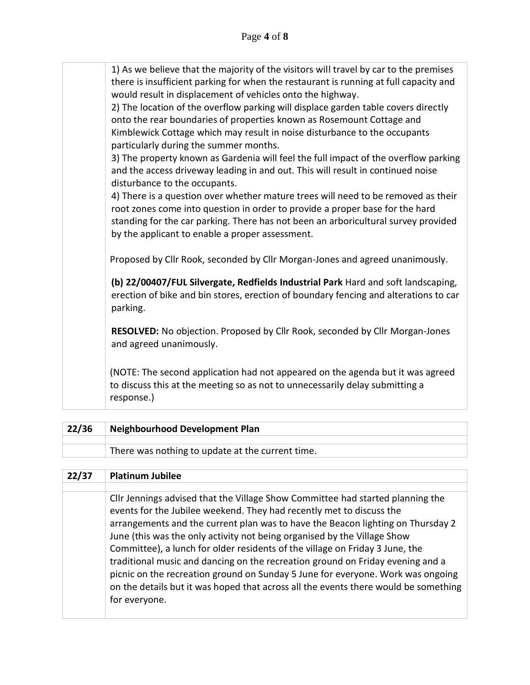| 1) As we believe that the majority of the visitors will travel by car to the premises<br>there is insufficient parking for when the restaurant is running at full capacity and<br>would result in displacement of vehicles onto the highway.                                                               |
|------------------------------------------------------------------------------------------------------------------------------------------------------------------------------------------------------------------------------------------------------------------------------------------------------------|
| 2) The location of the overflow parking will displace garden table covers directly<br>onto the rear boundaries of properties known as Rosemount Cottage and<br>Kimblewick Cottage which may result in noise disturbance to the occupants<br>particularly during the summer months.                         |
| 3) The property known as Gardenia will feel the full impact of the overflow parking<br>and the access driveway leading in and out. This will result in continued noise<br>disturbance to the occupants.                                                                                                    |
| 4) There is a question over whether mature trees will need to be removed as their<br>root zones come into question in order to provide a proper base for the hard<br>standing for the car parking. There has not been an arboricultural survey provided<br>by the applicant to enable a proper assessment. |
| Proposed by Cllr Rook, seconded by Cllr Morgan-Jones and agreed unanimously.                                                                                                                                                                                                                               |
| (b) 22/00407/FUL Silvergate, Redfields Industrial Park Hard and soft landscaping,<br>erection of bike and bin stores, erection of boundary fencing and alterations to car<br>parking.                                                                                                                      |
| RESOLVED: No objection. Proposed by Cllr Rook, seconded by Cllr Morgan-Jones<br>and agreed unanimously.                                                                                                                                                                                                    |
| (NOTE: The second application had not appeared on the agenda but it was agreed<br>to discuss this at the meeting so as not to unnecessarily delay submitting a<br>response.)                                                                                                                               |

| 22/36 | <b>Neighbourhood Development Plan</b>            |
|-------|--------------------------------------------------|
|       |                                                  |
|       | There was nothing to update at the current time. |

## **22/37 Platinum Jubilee**

Cllr Jennings advised that the Village Show Committee had started planning the events for the Jubilee weekend. They had recently met to discuss the arrangements and the current plan was to have the Beacon lighting on Thursday 2 June (this was the only activity not being organised by the Village Show Committee), a lunch for older residents of the village on Friday 3 June, the traditional music and dancing on the recreation ground on Friday evening and a picnic on the recreation ground on Sunday 5 June for everyone. Work was ongoing on the details but it was hoped that across all the events there would be something for everyone.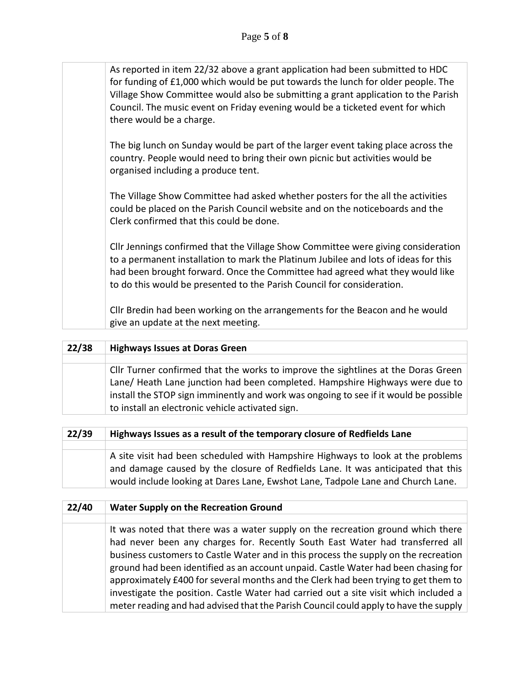| As reported in item 22/32 above a grant application had been submitted to HDC<br>for funding of £1,000 which would be put towards the lunch for older people. The<br>Village Show Committee would also be submitting a grant application to the Parish<br>Council. The music event on Friday evening would be a ticketed event for which<br>there would be a charge. |
|----------------------------------------------------------------------------------------------------------------------------------------------------------------------------------------------------------------------------------------------------------------------------------------------------------------------------------------------------------------------|
| The big lunch on Sunday would be part of the larger event taking place across the<br>country. People would need to bring their own picnic but activities would be<br>organised including a produce tent.                                                                                                                                                             |
| The Village Show Committee had asked whether posters for the all the activities<br>could be placed on the Parish Council website and on the noticeboards and the<br>Clerk confirmed that this could be done.                                                                                                                                                         |
| Cllr Jennings confirmed that the Village Show Committee were giving consideration<br>to a permanent installation to mark the Platinum Jubilee and lots of ideas for this<br>had been brought forward. Once the Committee had agreed what they would like<br>to do this would be presented to the Parish Council for consideration.                                   |
| Cllr Bredin had been working on the arrangements for the Beacon and he would<br>give an update at the next meeting.                                                                                                                                                                                                                                                  |

| 22/38 | <b>Highways Issues at Doras Green</b>                                                                                                                                                                                                                                                                         |
|-------|---------------------------------------------------------------------------------------------------------------------------------------------------------------------------------------------------------------------------------------------------------------------------------------------------------------|
|       |                                                                                                                                                                                                                                                                                                               |
|       | Cllr Turner confirmed that the works to improve the sightlines at the Doras Green<br>Lane/ Heath Lane junction had been completed. Hampshire Highways were due to<br>install the STOP sign imminently and work was ongoing to see if it would be possible<br>to install an electronic vehicle activated sign. |
|       |                                                                                                                                                                                                                                                                                                               |
|       |                                                                                                                                                                                                                                                                                                               |

| 22/39 | Highways Issues as a result of the temporary closure of Redfields Lane           |
|-------|----------------------------------------------------------------------------------|
|       |                                                                                  |
|       | A site visit had been scheduled with Hampshire Highways to look at the problems  |
|       | and damage caused by the closure of Redfields Lane. It was anticipated that this |
|       | would include looking at Dares Lane, Ewshot Lane, Tadpole Lane and Church Lane.  |

| 22/40 | <b>Water Supply on the Recreation Ground</b>                                         |
|-------|--------------------------------------------------------------------------------------|
|       |                                                                                      |
|       | It was noted that there was a water supply on the recreation ground which there      |
|       | had never been any charges for. Recently South East Water had transferred all        |
|       | business customers to Castle Water and in this process the supply on the recreation  |
|       | ground had been identified as an account unpaid. Castle Water had been chasing for   |
|       | approximately £400 for several months and the Clerk had been trying to get them to   |
|       | investigate the position. Castle Water had carried out a site visit which included a |
|       | meter reading and had advised that the Parish Council could apply to have the supply |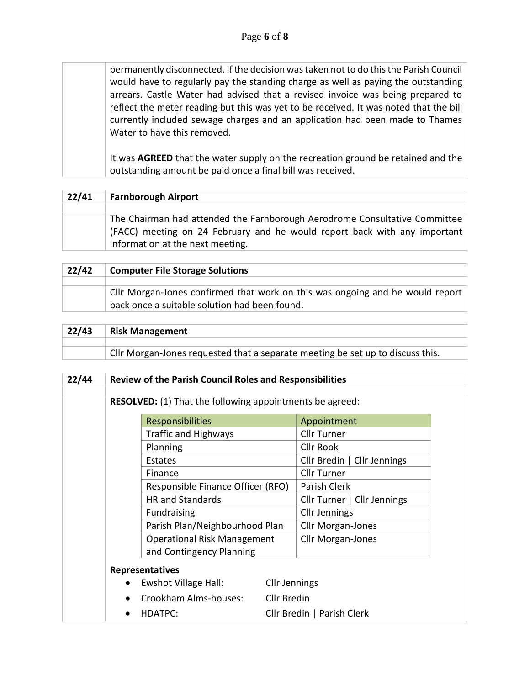permanently disconnected. If the decision was taken not to do this the Parish Council would have to regularly pay the standing charge as well as paying the outstanding arrears. Castle Water had advised that a revised invoice was being prepared to reflect the meter reading but this was yet to be received. It was noted that the bill currently included sewage charges and an application had been made to Thames Water to have this removed.

It was **AGREED** that the water supply on the recreation ground be retained and the outstanding amount be paid once a final bill was received.

| 22/41 | <b>Farnborough Airport</b>                                                                                                                                                                  |
|-------|---------------------------------------------------------------------------------------------------------------------------------------------------------------------------------------------|
|       |                                                                                                                                                                                             |
|       | The Chairman had attended the Farnborough Aerodrome Consultative Committee<br>(FACC) meeting on 24 February and he would report back with any important<br>information at the next meeting. |

| 22/42 | <b>Computer File Storage Solutions</b>                                                                                                       |
|-------|----------------------------------------------------------------------------------------------------------------------------------------------|
|       |                                                                                                                                              |
|       | $\mid$ CIIr Morgan-Jones confirmed that work on this was ongoing and he would report $\mid$<br>back once a suitable solution had been found. |

| 22/43 | <b>Risk Management</b>                                                         |
|-------|--------------------------------------------------------------------------------|
|       |                                                                                |
|       | Cllr Morgan-Jones requested that a separate meeting be set up to discuss this. |

| 22/44 |           | <b>Review of the Parish Council Roles and Responsibilities</b>  |               |                             |
|-------|-----------|-----------------------------------------------------------------|---------------|-----------------------------|
|       |           | <b>RESOLVED:</b> (1) That the following appointments be agreed: |               |                             |
|       |           | <b>Responsibilities</b>                                         |               | Appointment                 |
|       |           | <b>Traffic and Highways</b>                                     |               | Cllr Turner                 |
|       |           | Planning                                                        |               | <b>Cllr Rook</b>            |
|       |           | Estates                                                         |               | Cllr Bredin   Cllr Jennings |
|       |           | Finance                                                         |               | <b>Cllr Turner</b>          |
|       |           | Responsible Finance Officer (RFO)                               |               | Parish Clerk                |
|       |           | <b>HR</b> and Standards                                         |               | Cllr Turner   Cllr Jennings |
|       |           | Fundraising                                                     |               | <b>Cllr Jennings</b>        |
|       |           | Parish Plan/Neighbourhood Plan                                  |               | <b>Cllr Morgan-Jones</b>    |
|       |           | <b>Operational Risk Management</b>                              |               | Cllr Morgan-Jones           |
|       |           | and Contingency Planning                                        |               |                             |
|       |           | <b>Representatives</b>                                          |               |                             |
|       | $\bullet$ | Ewshot Village Hall:                                            | Cllr Jennings |                             |
|       |           | Crookham Alms-houses:                                           | Cllr Bredin   |                             |
|       | $\bullet$ | <b>HDATPC:</b>                                                  |               | Cllr Bredin   Parish Clerk  |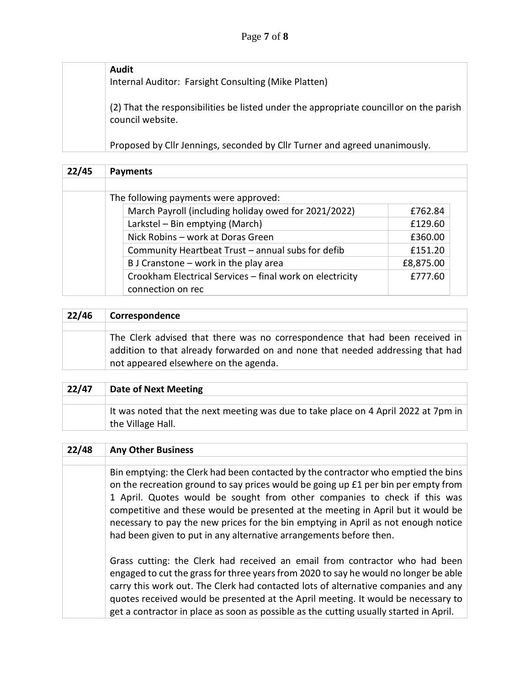| Audit<br>Internal Auditor: Farsight Consulting (Mike Platten)                                  |
|------------------------------------------------------------------------------------------------|
| (2) That the responsibilities be listed under the appropriate councillor on the parish         |
| council website.<br>Proposed by Cllr Jennings, seconded by Cllr Turner and agreed unanimously. |

| 22/45                                 | <b>Payments</b>                                          |           |  |  |  |
|---------------------------------------|----------------------------------------------------------|-----------|--|--|--|
|                                       |                                                          |           |  |  |  |
| The following payments were approved: |                                                          |           |  |  |  |
|                                       | March Payroll (including holiday owed for 2021/2022)     | £762.84   |  |  |  |
|                                       | Larkstel - Bin emptying (March)                          | £129.60   |  |  |  |
|                                       | Nick Robins - work at Doras Green                        | £360.00   |  |  |  |
|                                       | Community Heartbeat Trust - annual subs for defib        | £151.20   |  |  |  |
|                                       | B J Cranstone - work in the play area                    | £8,875.00 |  |  |  |
|                                       | Crookham Electrical Services - final work on electricity | £777.60   |  |  |  |
|                                       | connection on rec                                        |           |  |  |  |

| 22/46 | Correspondence                                                                                                                                                                                          |
|-------|---------------------------------------------------------------------------------------------------------------------------------------------------------------------------------------------------------|
|       |                                                                                                                                                                                                         |
|       | The Clerk advised that there was no correspondence that had been received in<br>addition to that already forwarded on and none that needed addressing that had<br>not appeared elsewhere on the agenda. |

| 22/47 | <b>Date of Next Meeting</b>                                                                             |
|-------|---------------------------------------------------------------------------------------------------------|
|       |                                                                                                         |
|       | It was noted that the next meeting was due to take place on 4 April 2022 at 7pm in<br>the Village Hall. |

| 22/48 | <b>Any Other Business</b>                                                                                                                                                                                                                                                                                                                                                                                                                                                                            |
|-------|------------------------------------------------------------------------------------------------------------------------------------------------------------------------------------------------------------------------------------------------------------------------------------------------------------------------------------------------------------------------------------------------------------------------------------------------------------------------------------------------------|
|       |                                                                                                                                                                                                                                                                                                                                                                                                                                                                                                      |
|       | Bin emptying: the Clerk had been contacted by the contractor who emptied the bins<br>on the recreation ground to say prices would be going up £1 per bin per empty from<br>1 April. Quotes would be sought from other companies to check if this was<br>competitive and these would be presented at the meeting in April but it would be<br>necessary to pay the new prices for the bin emptying in April as not enough notice<br>had been given to put in any alternative arrangements before then. |
|       | Grass cutting: the Clerk had received an email from contractor who had been<br>engaged to cut the grass for three years from 2020 to say he would no longer be able<br>carry this work out. The Clerk had contacted lots of alternative companies and any<br>quotes received would be presented at the April meeting. It would be necessary to<br>get a contractor in place as soon as possible as the cutting usually started in April.                                                             |